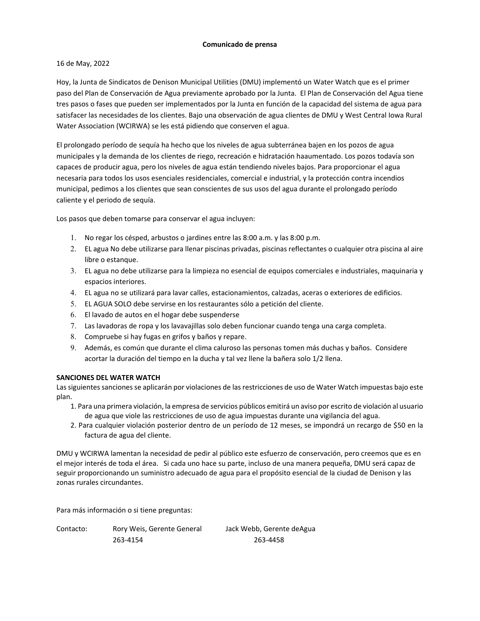### **Comunicado de prensa**

### 16 de May, 2022

Hoy, la Junta de Sindicatos de Denison Municipal Utilities (DMU) implementó un Water Watch que es el primer paso del Plan de Conservación de Agua previamente aprobado por la Junta. El Plan de Conservación del Agua tiene tres pasos o fases que pueden ser implementados por la Junta en función de la capacidad del sistema de agua para satisfacer las necesidades de los clientes. Bajo una observación de agua clientes de DMU y West Central Iowa Rural Water Association (WCIRWA) se les está pidiendo que conserven el agua.

El prolongado período de sequía ha hecho que los niveles de agua subterránea bajen en los pozos de agua municipales y la demanda de los clientes de riego, recreación e hidratación haaumentado. Los pozos todavía son capaces de producir agua, pero los niveles de agua están tendiendo niveles bajos. Para proporcionar el agua necesaria para todos los usos esenciales residenciales, comercial e industrial, y la protección contra incendios municipal, pedimos a los clientes que sean conscientes de sus usos del agua durante el prolongado período caliente y el periodo de sequía.

Los pasos que deben tomarse para conservar el agua incluyen:

- 1. No regar los césped, arbustos o jardines entre las 8:00 a.m. y las 8:00 p.m.
- 2. EL agua No debe utilizarse para llenar piscinas privadas, piscinas reflectantes o cualquier otra piscina al aire libre o estanque.
- 3. EL agua no debe utilizarse para la limpieza no esencial de equipos comerciales e industriales, maquinaria y espacios interiores.
- 4. EL agua no se utilizará para lavar calles, estacionamientos, calzadas, aceras o exteriores de edificios.
- 5. EL AGUA SOLO debe servirse en los restaurantes sólo a petición del cliente.
- 6. El lavado de autos en el hogar debe suspenderse
- 7. Las lavadoras de ropa y los lavavajillas solo deben funcionar cuando tenga una carga completa.
- 8. Compruebe si hay fugas en grifos y baños y repare.
- 9. Además, es común que durante el clima caluroso las personas tomen más duchas y baños. Considere acortar la duración del tiempo en la ducha y tal vez llene la bañera solo 1/2 llena.

#### **SANCIONES DEL WATER WATCH**

Las siguientes sanciones se aplicarán por violaciones de las restricciones de uso de Water Watch impuestas bajo este plan.

- 1. Para una primera violación, la empresa de servicios públicos emitirá un aviso por escrito de violación al usuario de agua que viole las restricciones de uso de agua impuestas durante una vigilancia del agua.
- 2. Para cualquier violación posterior dentro de un período de 12 meses, se impondrá un recargo de \$50 en la factura de agua del cliente.

DMU y WCIRWA lamentan la necesidad de pedir al público este esfuerzo de conservación, pero creemos que es en el mejor interés de toda el área. Si cada uno hace su parte, incluso de una manera pequeña, DMU será capaz de seguir proporcionando un suministro adecuado de agua para el propósito esencial de la ciudad de Denison y las zonas rurales circundantes.

Para más información o si tiene preguntas:

| Contacto: | Rory Weis, Gerente General | Jack Webb, Gerente deAgua |
|-----------|----------------------------|---------------------------|
|           | 263-4154                   | 263-4458                  |